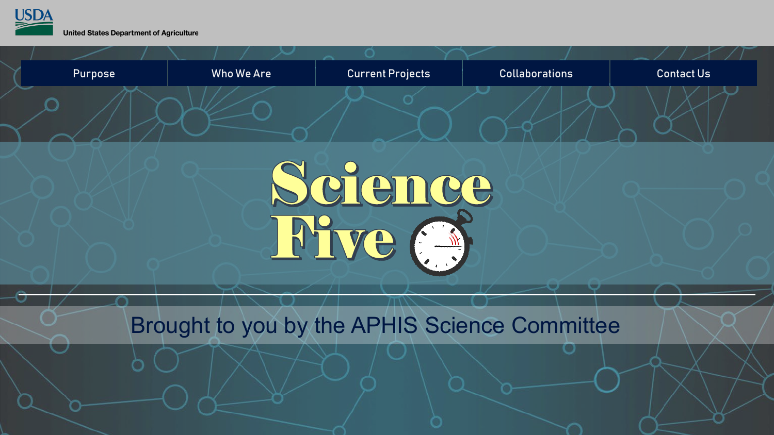

**United States Department of Agriculture** 

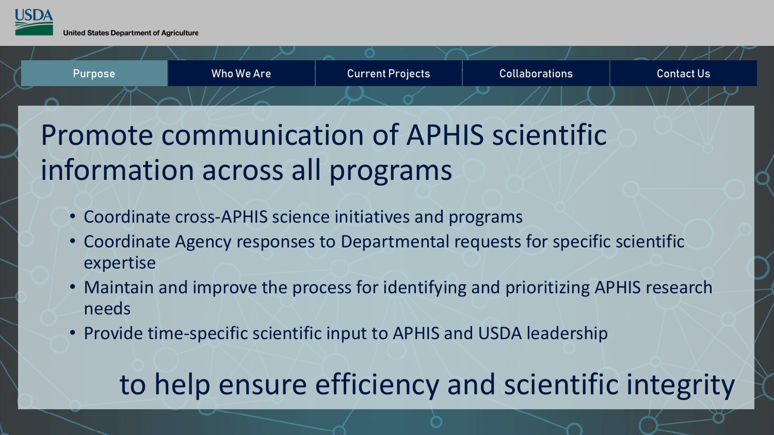<span id="page-1-0"></span>



## Promote communication of APHIS scientific information across all programs

- Coordinate cross-APHIS science initiatives and programs
- Coordinate Agency responses to Departmental requests for specific scientific expertise
- Maintain and improve the process for identifying and prioritizing APHIS research needs
- Provide time-specific scientific input to APHIS and USDA leadership

# to help ensure efficiency and scientific integrity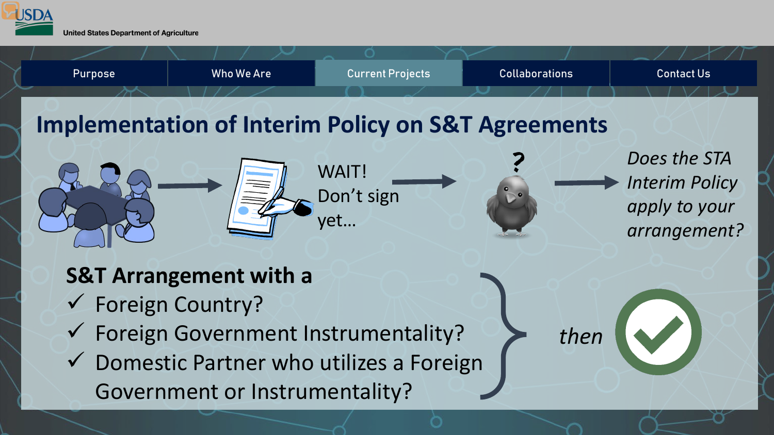<span id="page-2-0"></span>

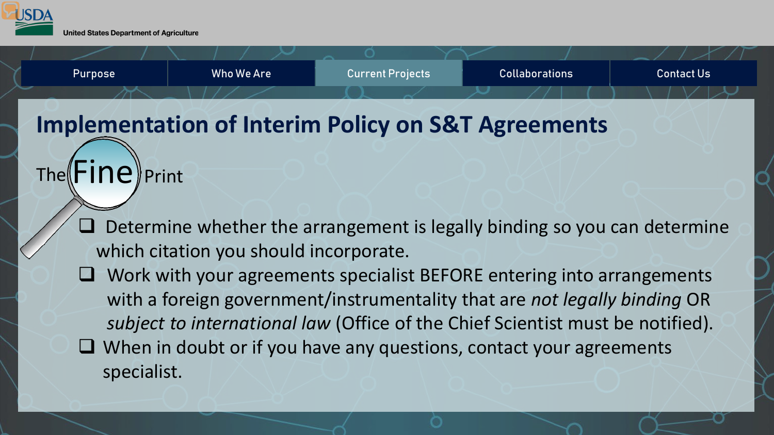



### **Implementation of Interim Policy on S&T Agreements**

### $The \mathsf{Fine}$

- Determine whether the arrangement is legally binding so you can determine which citation you should incorporate.
- $\Box$  Work with your agreements specialist BEFORE entering into arrangements with a foreign government/instrumentality that are *not legally binding* OR *subject to international law* (Office of the Chief Scientist must be notified).  $\Box$  When in doubt or if you have any questions, contact your agreements specialist.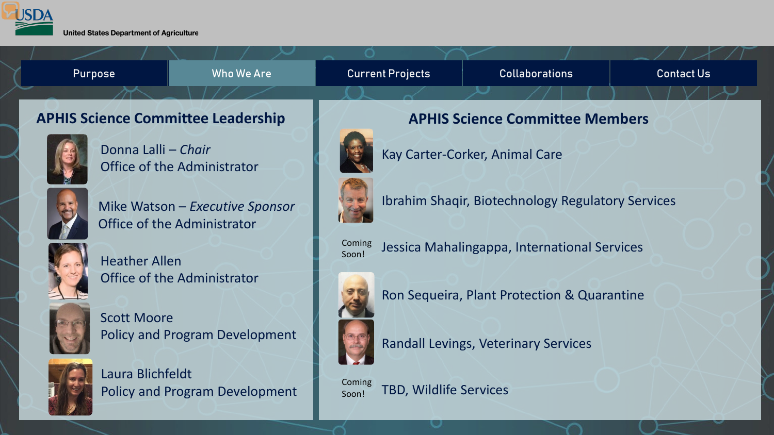

Scott Moore

Heather Allen





Jessica Mahalingappa, International Services



Ron Sequeira, Plant Protection & Quarantine



Randall Levings, Veterinary Services

Coming Soon!

TBD, Wildlife Services

Laura Blichfeldt Policy and Program Development

Policy and Program Development

Office of the Administrator